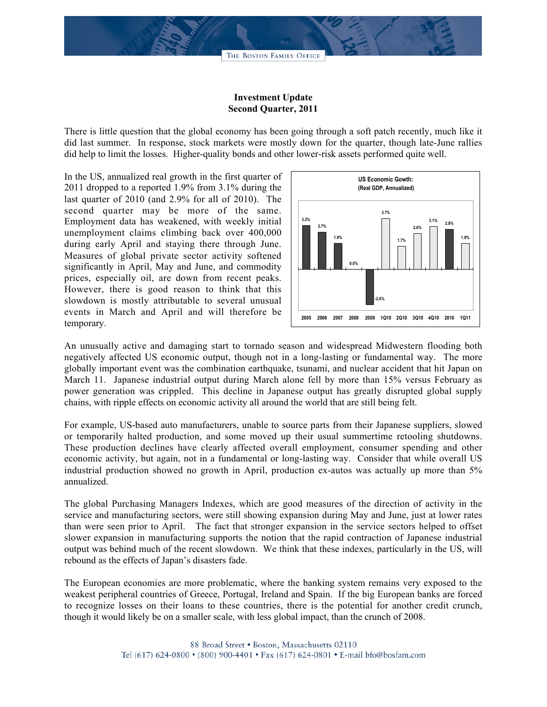## **Investment Update Second Quarter, 2011**

There is little question that the global economy has been going through a soft patch recently, much like it did last summer. In response, stock markets were mostly down for the quarter, though late-June rallies did help to limit the losses. Higher-quality bonds and other lower-risk assets performed quite well.

In the US, annualized real growth in the first quarter of 2011 dropped to a reported 1.9% from 3.1% during the last quarter of 2010 (and 2.9% for all of 2010). The second quarter may be more of the same. Employment data has weakened, with weekly initial unemployment claims climbing back over 400,000 during early April and staying there through June. Measures of global private sector activity softened significantly in April, May and June, and commodity prices, especially oil, are down from recent peaks. However, there is good reason to think that this slowdown is mostly attributable to several unusual events in March and April and will therefore be temporary.



An unusually active and damaging start to tornado season and widespread Midwestern flooding both negatively affected US economic output, though not in a long-lasting or fundamental way. The more globally important event was the combination earthquake, tsunami, and nuclear accident that hit Japan on March 11. Japanese industrial output during March alone fell by more than 15% versus February as power generation was crippled. This decline in Japanese output has greatly disrupted global supply chains, with ripple effects on economic activity all around the world that are still being felt.

For example, US-based auto manufacturers, unable to source parts from their Japanese suppliers, slowed or temporarily halted production, and some moved up their usual summertime retooling shutdowns. These production declines have clearly affected overall employment, consumer spending and other economic activity, but again, not in a fundamental or long-lasting way. Consider that while overall US industrial production showed no growth in April, production ex-autos was actually up more than 5% annualized.

The global Purchasing Managers Indexes, which are good measures of the direction of activity in the service and manufacturing sectors, were still showing expansion during May and June, just at lower rates than were seen prior to April. The fact that stronger expansion in the service sectors helped to offset slower expansion in manufacturing supports the notion that the rapid contraction of Japanese industrial output was behind much of the recent slowdown. We think that these indexes, particularly in the US, will rebound as the effects of Japan's disasters fade.

The European economies are more problematic, where the banking system remains very exposed to the weakest peripheral countries of Greece, Portugal, Ireland and Spain. If the big European banks are forced to recognize losses on their loans to these countries, there is the potential for another credit crunch, though it would likely be on a smaller scale, with less global impact, than the crunch of 2008.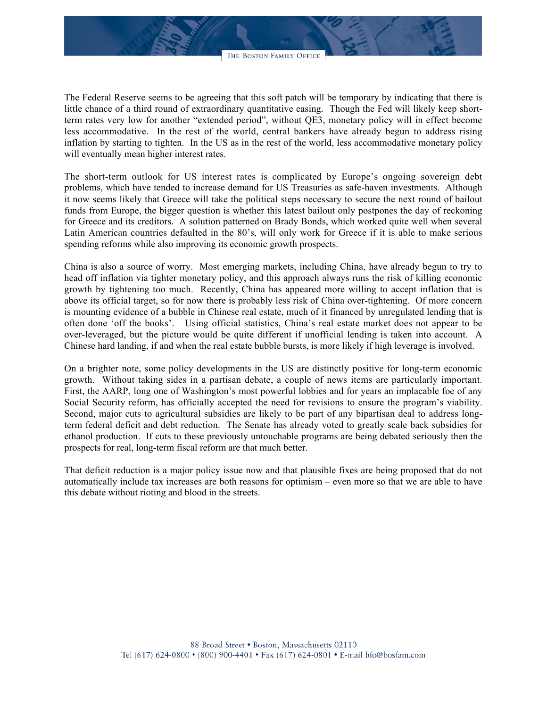The Federal Reserve seems to be agreeing that this soft patch will be temporary by indicating that there is little chance of a third round of extraordinary quantitative easing. Though the Fed will likely keep shortterm rates very low for another "extended period", without QE3, monetary policy will in effect become less accommodative. In the rest of the world, central bankers have already begun to address rising inflation by starting to tighten. In the US as in the rest of the world, less accommodative monetary policy will eventually mean higher interest rates.

The short-term outlook for US interest rates is complicated by Europe's ongoing sovereign debt problems, which have tended to increase demand for US Treasuries as safe-haven investments. Although it now seems likely that Greece will take the political steps necessary to secure the next round of bailout funds from Europe, the bigger question is whether this latest bailout only postpones the day of reckoning for Greece and its creditors. A solution patterned on Brady Bonds, which worked quite well when several Latin American countries defaulted in the 80's, will only work for Greece if it is able to make serious spending reforms while also improving its economic growth prospects.

China is also a source of worry. Most emerging markets, including China, have already begun to try to head off inflation via tighter monetary policy, and this approach always runs the risk of killing economic growth by tightening too much. Recently, China has appeared more willing to accept inflation that is above its official target, so for now there is probably less risk of China over-tightening. Of more concern is mounting evidence of a bubble in Chinese real estate, much of it financed by unregulated lending that is often done 'off the books'. Using official statistics, China's real estate market does not appear to be over-leveraged, but the picture would be quite different if unofficial lending is taken into account. A Chinese hard landing, if and when the real estate bubble bursts, is more likely if high leverage is involved.

On a brighter note, some policy developments in the US are distinctly positive for long-term economic growth. Without taking sides in a partisan debate, a couple of news items are particularly important. First, the AARP, long one of Washington's most powerful lobbies and for years an implacable foe of any Social Security reform, has officially accepted the need for revisions to ensure the program's viability. Second, major cuts to agricultural subsidies are likely to be part of any bipartisan deal to address longterm federal deficit and debt reduction. The Senate has already voted to greatly scale back subsidies for ethanol production. If cuts to these previously untouchable programs are being debated seriously then the prospects for real, long-term fiscal reform are that much better.

That deficit reduction is a major policy issue now and that plausible fixes are being proposed that do not automatically include tax increases are both reasons for optimism – even more so that we are able to have this debate without rioting and blood in the streets.